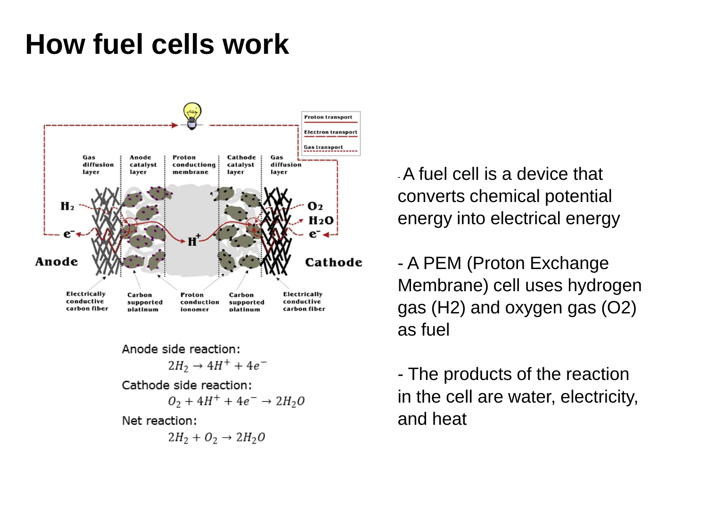# **How fuel cells work**



Anode side reaction:

$$
2H_2 \rightarrow 4H^+ + 4e^-
$$

Cathode side reaction:

$$
O_2 + 4H^+ + 4e^- \rightarrow 2H_2O
$$

Net reaction:

$$
2H_2 + O_2 \rightarrow 2H_2O
$$

-A fuel cell is a device that converts chemical potential energy into electrical energy

- A PEM (Proton Exchange Membrane) cell uses hydrogen gas (H2) and oxygen gas (O2) as fuel

- The products of the reaction in the cell are water, electricity, and heat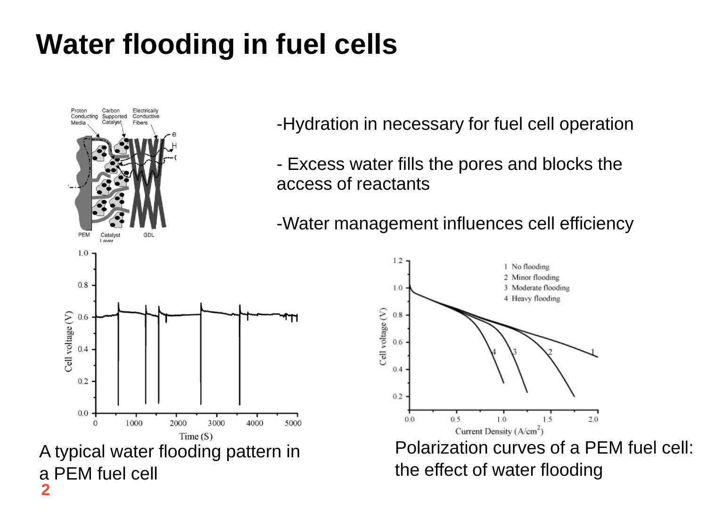## **Gas Diffusion Layer (GDL) Water flooding in fuel cells**



**2**

a PEM fuel cell

-Hydration in necessary for fuel cell operation

- Excess water fills the pores and blocks the access of reactants

-Water management influences cell efficiency

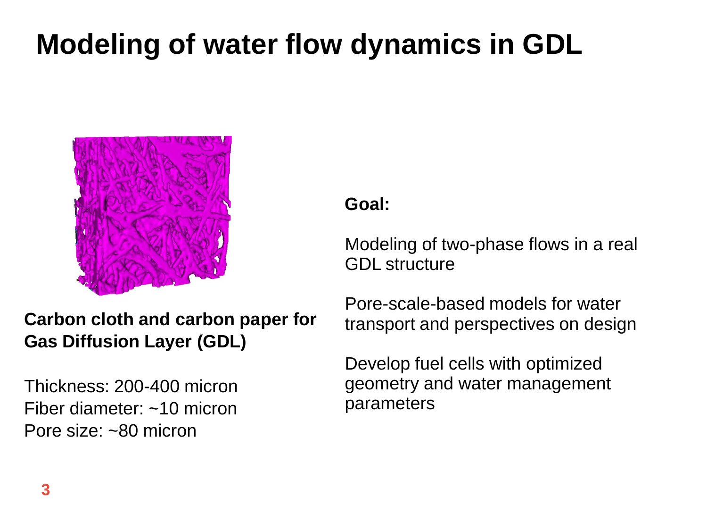## **Geometry Modeling of water flow dynamics in GDL**



### **Goal:**

Modeling of two-phase flows in a real GDL structure

### **Carbon cloth and carbon paper for Gas Diffusion Layer (GDL)**

Thickness: 200-400 micron Fiber diameter: ~10 micron Pore size: ~80 micron

Pore-scale-based models for water transport and perspectives on design

Develop fuel cells with optimized geometry and water management parameters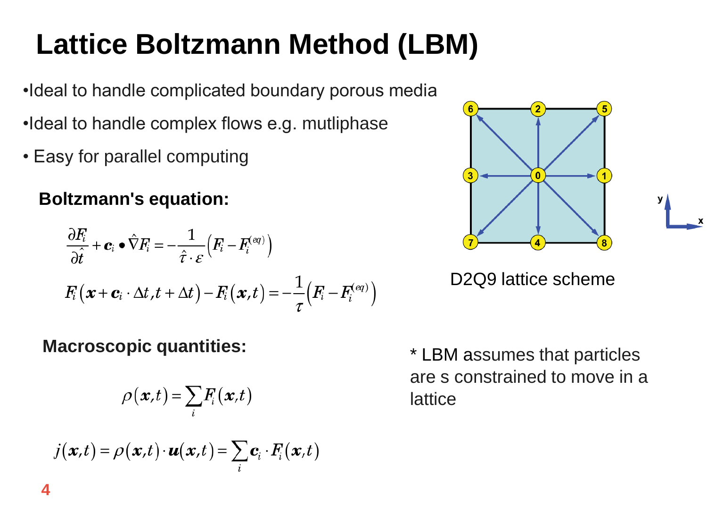# **Lattice Boltzmann Method (LBM)**

- **L**<br>Latin Latin Control •Ideal to handle complicated boundary porous media
- •Ideal to handle complex flows e.g. mutliphase
- Easy for parallel computing

### **Boltzmann's equation:**

$$
\frac{\partial F_i}{\partial \hat{t}} + \mathbf{c}_i \bullet \hat{\nabla} F_i = -\frac{1}{\hat{\tau} \cdot \varepsilon} \Big( F_i - F_i^{(eq)} \Big)
$$

$$
F_i \big( \mathbf{x} + \mathbf{c}_i \cdot \Delta t, t + \Delta t \big) - F_i \big( \mathbf{x}, t \big) = -\frac{1}{\tau} \Big( F_i - F_i^{(eq)} \Big)
$$

### **Macroscopic quantities:**

$$
\rho(\mathbf{x},t) = \sum_{i} F_i(\mathbf{x},t)
$$

$$
j(\mathbf{x},t) = \rho(\mathbf{x},t) \cdot \mathbf{u}(\mathbf{x},t) = \sum_{i} \mathbf{c}_i \cdot F_i(\mathbf{x},t)
$$

\* LBM assumes that particles are s constrained to move in a lattice



D2Q9 lattice scheme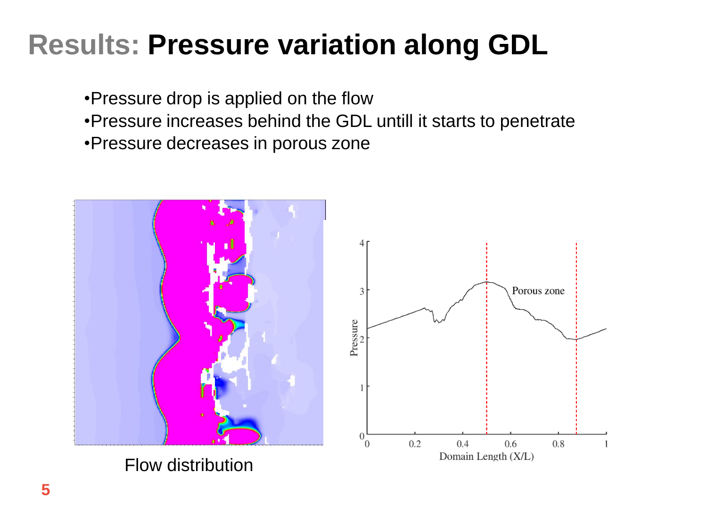# **Results: Pressure variation along GDL**

•Pressure drop is applied on the flow

- •Pressure increases behind the GDL untill it starts to penetrate
- •Pressure decreases in porous zone



Flow distribution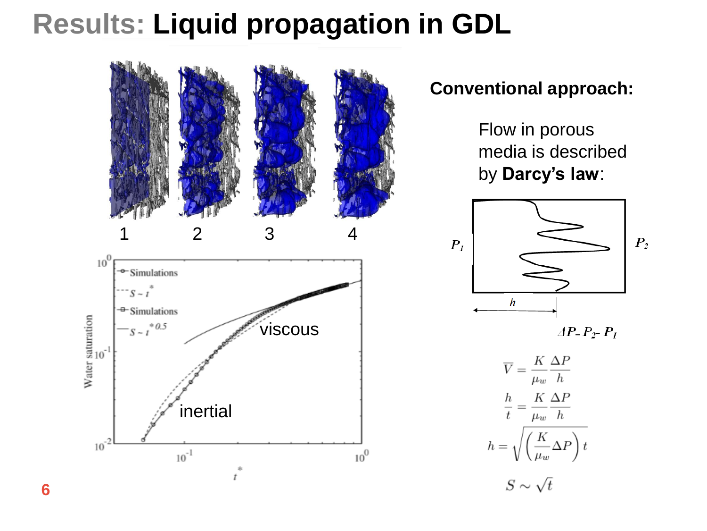# **Results: Liquid propagation in GDL**



#### **Conventional approach:**

Flow in porous media is described by **Darcy's law**:



 $\Delta P = P_2 - P_1$